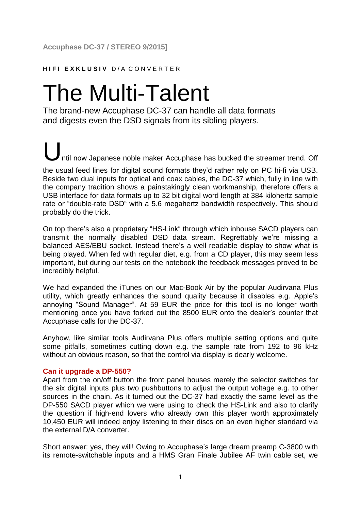## **HIFI EXKLUSIV D/A CONVERTER**

# The Multi-Talent

The brand-new Accuphase DC-37 can handle all data formats and digests even the DSD signals from its sibling players.

Intil now Japanese noble maker Accuphase has bucked the streamer trend. Off the usual feed lines for digital sound formats they'd rather rely on PC hi-fi via USB. Beside two dual inputs for optical and coax cables, the DC-37 which, fully in line with the company tradition shows a painstakingly clean workmanship, therefore offers a USB interface for data formats up to 32 bit digital word length at 384 kilohertz sample rate or "double-rate DSD" with a 5.6 megahertz bandwidth respectively. This should

On top there's also a proprietary "HS-Link" through which inhouse SACD players can transmit the normally disabled DSD data stream. Regrettably we're missing a balanced AES/EBU socket. Instead there's a well readable display to show what is being played. When fed with regular diet, e.g. from a CD player, this may seem less important, but during our tests on the notebook the feedback messages proved to be incredibly helpful.

We had expanded the iTunes on our Mac-Book Air by the popular Audirvana Plus utility, which greatly enhances the sound quality because it disables e.g. Apple's annoying "Sound Manager". At 59 EUR the price for this tool is no longer worth mentioning once you have forked out the 8500 EUR onto the dealer's counter that Accuphase calls for the DC-37.

Anyhow, like similar tools Audirvana Plus offers multiple setting options and quite some pitfalls, sometimes cutting down e.g. the sample rate from 192 to 96 kHz without an obvious reason, so that the control via display is dearly welcome.

### **Can it upgrade a DP-550?**

probably do the trick.

Apart from the on/off button the front panel houses merely the selector switches for the six digital inputs plus two pushbuttons to adjust the output voltage e.g. to other sources in the chain. As it turned out the DC-37 had exactly the same level as the DP-550 SACD player which we were using to check the HS-Link and also to clarify the question if high-end lovers who already own this player worth approximately 10,450 EUR will indeed enjoy listening to their discs on an even higher standard via the external D/A converter.

Short answer: yes, they will! Owing to Accuphase's large dream preamp C-3800 with its remote-switchable inputs and a HMS Gran Finale Jubilee AF twin cable set, we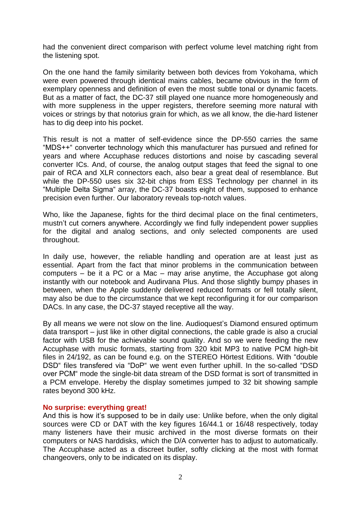had the convenient direct comparison with perfect volume level matching right from the listening spot.

On the one hand the family similarity between both devices from Yokohama, which were even powered through identical mains cables, became obvious in the form of exemplary openness and definition of even the most subtle tonal or dynamic facets. But as a matter of fact, the DC-37 still played one nuance more homogeneously and with more suppleness in the upper registers, therefore seeming more natural with voices or strings by that notorius grain for which, as we all know, the die-hard listener has to dig deep into his pocket.

This result is not a matter of self-evidence since the DP-550 carries the same "MDS++" converter technology which this manufacturer has pursued and refined for years and where Accuphase reduces distortions and noise by cascading several converter ICs. And, of course, the analog output stages that feed the signal to one pair of RCA and XLR connectors each, also bear a great deal of resemblance. But while the DP-550 uses six 32-bit chips from ESS Technology per channel in its "Multiple Delta Sigma" array, the DC-37 boasts eight of them, supposed to enhance precision even further. Our laboratory reveals top-notch values.

Who, like the Japanese, fights for the third decimal place on the final centimeters, mustn't cut corners anywhere. Accordingly we find fully independent power supplies for the digital and analog sections, and only selected components are used throughout.

In daily use, however, the reliable handling and operation are at least just as essential. Apart from the fact that minor problems in the communication between computers – be it a PC or a Mac – may arise anytime, the Accuphase got along instantly with our notebook and Audirvana Plus. And those slightly bumpy phases in between, when the Apple suddenly delivered reduced formats or fell totally silent, may also be due to the circumstance that we kept reconfiguring it for our comparison DACs. In any case, the DC-37 stayed receptive all the way.

By all means we were not slow on the line. Audioquest's Diamond ensured optimum data transport – just like in other digital connections, the cable grade is also a crucial factor with USB for the achievable sound quality. And so we were feeding the new Accuphase with music formats, starting from 320 kbit MP3 to native PCM high-bit files in 24/192, as can be found e.g. on the STEREO Hörtest Editions. With "double DSD" files transfered via "DoP" we went even further uphill. In the so-called "DSD over PCM" mode the single-bit data stream of the DSD format is sort of transmitted in a PCM envelope. Hereby the display sometimes jumped to 32 bit showing sample rates beyond 300 kHz.

#### **No surprise: everything great!**

And this is how it's supposed to be in daily use: Unlike before, when the only digital sources were CD or DAT with the key figures 16/44.1 or 16/48 respectively, today many listeners have their music archived in the most diverse formats on their computers or NAS harddisks, which the D/A converter has to adjust to automatically. The Accuphase acted as a discreet butler, softly clicking at the most with format changeovers, only to be indicated on its display.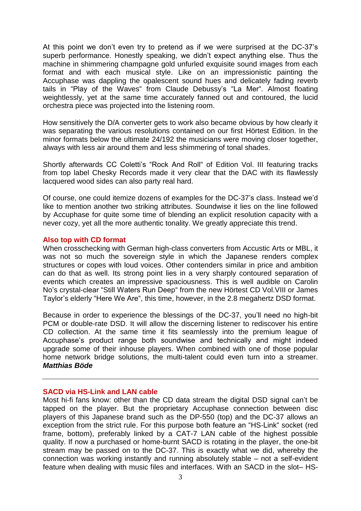At this point we don't even try to pretend as if we were surprised at the DC-37's superb performance. Honestly speaking, we didn't expect anything else. Thus the machine in shimmering champagne gold unfurled exquisite sound images from each format and with each musical style. Like on an impressionistic painting the Accuphase was dappling the opalescent sound hues and delicately fading reverb tails in "Play of the Waves" from Claude Debussy's "La Mer". Almost floating weightlessly, yet at the same time accurately fanned out and contoured, the lucid orchestra piece was projected into the listening room.

How sensitively the D/A converter gets to work also became obvious by how clearly it was separating the various resolutions contained on our first Hörtest Edition. In the minor formats below the ultimate 24/192 the musicians were moving closer together, always with less air around them and less shimmering of tonal shades.

Shortly afterwards CC Coletti's "Rock And Roll" of Edition Vol. III featuring tracks from top label Chesky Records made it very clear that the DAC with its flawlessly lacquered wood sides can also party real hard.

Of course, one could itemize dozens of examples for the DC-37's class. Instead we'd like to mention another two striking attributes. Soundwise it lies on the line followed by Accuphase for quite some time of blending an explicit resolution capacity with a never cozy, yet all the more authentic tonality. We greatly appreciate this trend.

#### **Also top with CD format**

When crosschecking with German high-class converters from Accustic Arts or MBL, it was not so much the sovereign style in which the Japanese renders complex structures or copes with loud voices. Other contenders similar in price and ambition can do that as well. Its strong point lies in a very sharply contoured separation of events which creates an impressive spaciousness. This is well audible on Carolin No's crystal-clear "Still Waters Run Deep" from the new Hörtest CD Vol.VIII or James Taylor's elderly "Here We Are", this time, however, in the 2.8 megahertz DSD format.

Because in order to experience the blessings of the DC-37, you'll need no high-bit PCM or double-rate DSD. It will allow the discerning listener to rediscover his entire CD collection. At the same time it fits seamlessly into the premium league of Accuphase's product range both soundwise and technically and might indeed upgrade some of their inhouse players. When combined with one of those popular home network bridge solutions, the multi-talent could even turn into a streamer. *Matthias Böde*

#### **SACD via HS-Link and LAN cable**

Most hi-fi fans know: other than the CD data stream the digital DSD signal can't be tapped on the player. But the proprietary Accuphase connection between disc players of this Japanese brand such as the DP-550 (top) and the DC-37 allows an exception from the strict rule. For this purpose both feature an "HS-Link" socket (red frame, bottom), preferably linked by a CAT-7 LAN cable of the highest possible quality. If now a purchased or home-burnt SACD is rotating in the player, the one-bit stream may be passed on to the DC-37. This is exactly what we did, whereby the connection was working instantly and running absolutely stable – not a self-evident feature when dealing with music files and interfaces. With an SACD in the slot– HS-